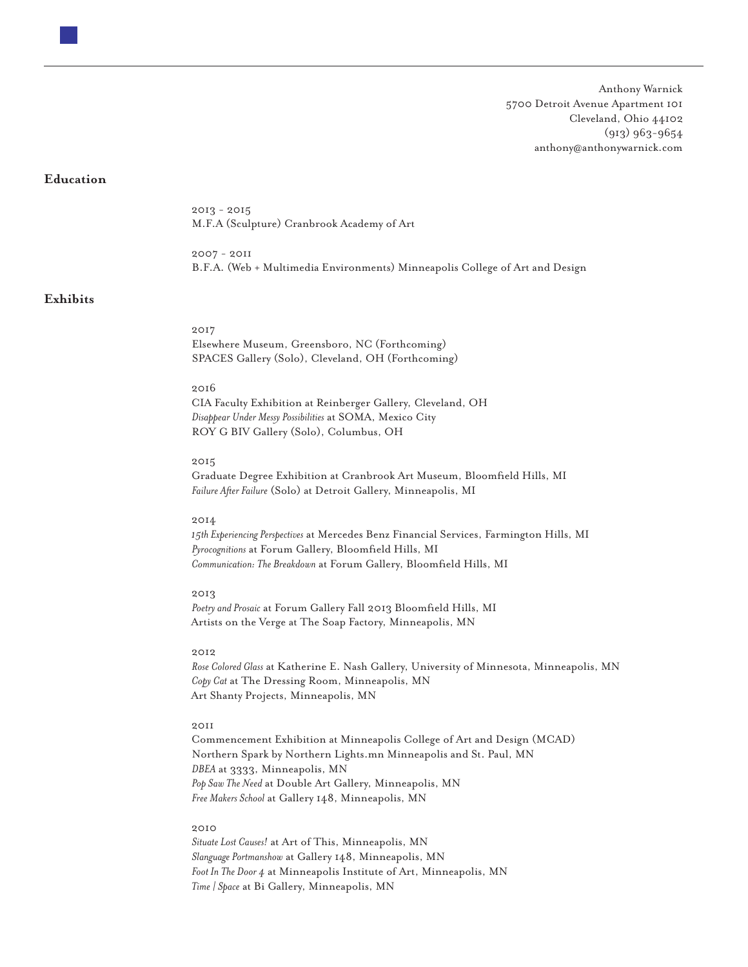Anthony Warnick 5700 Detroit Avenue Apartment 101 Cleveland, Ohio 44102 (913) 963-9654 anthony@anthonywarnick.com

## **Education**

2013 - 2015 M.F.A (Sculpture) Cranbrook Academy of Art

2007 - 2011 B.F.A. (Web + Multimedia Environments) Minneapolis College of Art and Design

## **Exhibits**

2017 Elsewhere Museum, Greensboro, NC (Forthcoming) SPACES Gallery (Solo), Cleveland, OH (Forthcoming)

## 2016

CIA Faculty Exhibition at Reinberger Gallery, Cleveland, OH *Disappear Under Messy Possibilities* at SOMA, Mexico City ROY G BIV Gallery (Solo), Columbus, OH

## 2015

Graduate Degree Exhibition at Cranbrook Art Museum, Bloomfield Hills, MI *Failure After Failure* (Solo) at Detroit Gallery, Minneapolis, MI

#### 2014

*15th Experiencing Perspectives* at Mercedes Benz Financial Services, Farmington Hills, MI *Pyrocognitions* at Forum Gallery, Bloomfield Hills, MI *Communication: The Breakdown* at Forum Gallery, Bloomfield Hills, MI

#### 2013

*Poetry and Prosaic* at Forum Gallery Fall 2013 Bloomfield Hills, MI Artists on the Verge at The Soap Factory, Minneapolis, MN

## 2012

*Rose Colored Glass* at Katherine E. Nash Gallery, University of Minnesota, Minneapolis, MN *Copy Cat* at The Dressing Room, Minneapolis, MN Art Shanty Projects, Minneapolis, MN

# 2011

Commencement Exhibition at Minneapolis College of Art and Design (MCAD) Northern Spark by Northern Lights.mn Minneapolis and St. Paul, MN *DBEA* at 3333, Minneapolis, MN *Pop Saw The Need* at Double Art Gallery, Minneapolis, MN *Free Makers School* at Gallery 148, Minneapolis, MN

## 2010

*Situate Lost Causes!* at Art of This, Minneapolis, MN *Slanguage Portmanshow* at Gallery 148, Minneapolis, MN *Foot In The Door 4* at Minneapolis Institute of Art, Minneapolis, MN *Time | Space* at Bi Gallery, Minneapolis, MN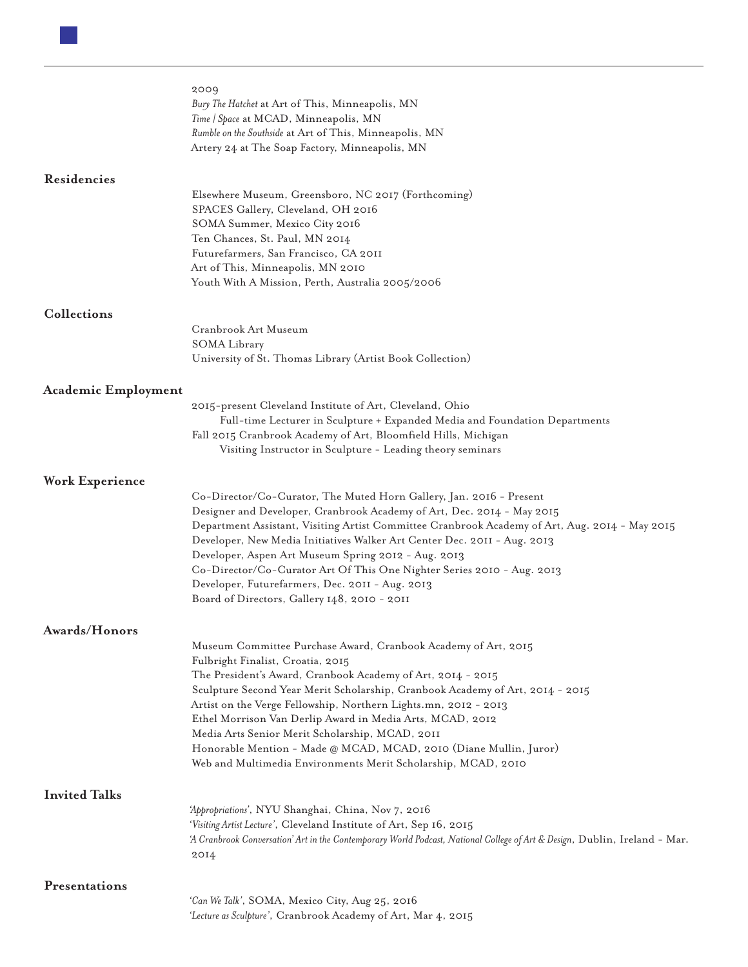|                            | 2009<br>Bury The Hatchet at Art of This, Minneapolis, MN<br>Time   Space at MCAD, Minneapolis, MN<br>Rumble on the Southside at Art of This, Minneapolis, MN<br>Artery 24 at The Soap Factory, Minneapolis, MN                                                                                                                                                                                                                                                                                                                                                  |
|----------------------------|-----------------------------------------------------------------------------------------------------------------------------------------------------------------------------------------------------------------------------------------------------------------------------------------------------------------------------------------------------------------------------------------------------------------------------------------------------------------------------------------------------------------------------------------------------------------|
| Residencies                |                                                                                                                                                                                                                                                                                                                                                                                                                                                                                                                                                                 |
|                            | Elsewhere Museum, Greensboro, NC 2017 (Forthcoming)<br>SPACES Gallery, Cleveland, OH 2016<br>SOMA Summer, Mexico City 2016<br>Ten Chances, St. Paul, MN 2014<br>Futurefarmers, San Francisco, CA 2011<br>Art of This, Minneapolis, MN 2010<br>Youth With A Mission, Perth, Australia 2005/2006                                                                                                                                                                                                                                                                  |
| Collections                |                                                                                                                                                                                                                                                                                                                                                                                                                                                                                                                                                                 |
|                            | Cranbrook Art Museum                                                                                                                                                                                                                                                                                                                                                                                                                                                                                                                                            |
|                            | SOMA Library                                                                                                                                                                                                                                                                                                                                                                                                                                                                                                                                                    |
|                            | University of St. Thomas Library (Artist Book Collection)                                                                                                                                                                                                                                                                                                                                                                                                                                                                                                       |
|                            |                                                                                                                                                                                                                                                                                                                                                                                                                                                                                                                                                                 |
| <b>Academic Employment</b> |                                                                                                                                                                                                                                                                                                                                                                                                                                                                                                                                                                 |
|                            | 2015-present Cleveland Institute of Art, Cleveland, Ohio<br>Full-time Lecturer in Sculpture + Expanded Media and Foundation Departments                                                                                                                                                                                                                                                                                                                                                                                                                         |
|                            | Fall 2015 Cranbrook Academy of Art, Bloomfield Hills, Michigan                                                                                                                                                                                                                                                                                                                                                                                                                                                                                                  |
|                            | Visiting Instructor in Sculpture - Leading theory seminars                                                                                                                                                                                                                                                                                                                                                                                                                                                                                                      |
|                            |                                                                                                                                                                                                                                                                                                                                                                                                                                                                                                                                                                 |
| Work Experience            |                                                                                                                                                                                                                                                                                                                                                                                                                                                                                                                                                                 |
|                            | Co-Director/Co-Curator, The Muted Horn Gallery, Jan. 2016 - Present<br>Designer and Developer, Cranbrook Academy of Art, Dec. 2014 - May 2015<br>Department Assistant, Visiting Artist Committee Cranbrook Academy of Art, Aug. 2014 - May 2015<br>Developer, New Media Initiatives Walker Art Center Dec. 2011 - Aug. 2013<br>Developer, Aspen Art Museum Spring 2012 - Aug. 2013<br>Co-Director/Co-Curator Art Of This One Nighter Series 2010 - Aug. 2013<br>Developer, Futurefarmers, Dec. 2011 - Aug. 2013<br>Board of Directors, Gallery 148, 2010 - 2011 |
| Awards/Honors              |                                                                                                                                                                                                                                                                                                                                                                                                                                                                                                                                                                 |
|                            | Museum Committee Purchase Award, Cranbook Academy of Art, 2015                                                                                                                                                                                                                                                                                                                                                                                                                                                                                                  |
|                            | Fulbright Finalist, Croatia, 2015                                                                                                                                                                                                                                                                                                                                                                                                                                                                                                                               |
|                            | The President's Award, Cranbook Academy of Art, 2014 - 2015                                                                                                                                                                                                                                                                                                                                                                                                                                                                                                     |
|                            | Sculpture Second Year Merit Scholarship, Cranbook Academy of Art, 2014 - 2015<br>Artist on the Verge Fellowship, Northern Lights.mn, 2012 - 2013                                                                                                                                                                                                                                                                                                                                                                                                                |
|                            | Ethel Morrison Van Derlip Award in Media Arts, MCAD, 2012                                                                                                                                                                                                                                                                                                                                                                                                                                                                                                       |
|                            | Media Arts Senior Merit Scholarship, MCAD, 2011                                                                                                                                                                                                                                                                                                                                                                                                                                                                                                                 |
|                            | Honorable Mention - Made @ MCAD, MCAD, 2010 (Diane Mullin, Juror)                                                                                                                                                                                                                                                                                                                                                                                                                                                                                               |
|                            | Web and Multimedia Environments Merit Scholarship, MCAD, 2010                                                                                                                                                                                                                                                                                                                                                                                                                                                                                                   |
| <b>Invited Talks</b>       |                                                                                                                                                                                                                                                                                                                                                                                                                                                                                                                                                                 |
|                            | 'Appropriations', NYU Shanghai, China, Nov 7, 2016                                                                                                                                                                                                                                                                                                                                                                                                                                                                                                              |
|                            | 'Visiting Artist Lecture', Cleveland Institute of Art, Sep 16, 2015                                                                                                                                                                                                                                                                                                                                                                                                                                                                                             |
|                            | 'A Cranbrook Conversation' Art in the Contemporary World Podcast, National College of Art & Design, Dublin, Ireland - Mar.                                                                                                                                                                                                                                                                                                                                                                                                                                      |
|                            | 2014                                                                                                                                                                                                                                                                                                                                                                                                                                                                                                                                                            |
| Presentations              |                                                                                                                                                                                                                                                                                                                                                                                                                                                                                                                                                                 |
|                            | 'Can We Talk', SOMA, Mexico City, Aug 25, 2016                                                                                                                                                                                                                                                                                                                                                                                                                                                                                                                  |
|                            | 'Lecture as Sculpture', Cranbrook Academy of Art, Mar 4, 2015                                                                                                                                                                                                                                                                                                                                                                                                                                                                                                   |
|                            |                                                                                                                                                                                                                                                                                                                                                                                                                                                                                                                                                                 |